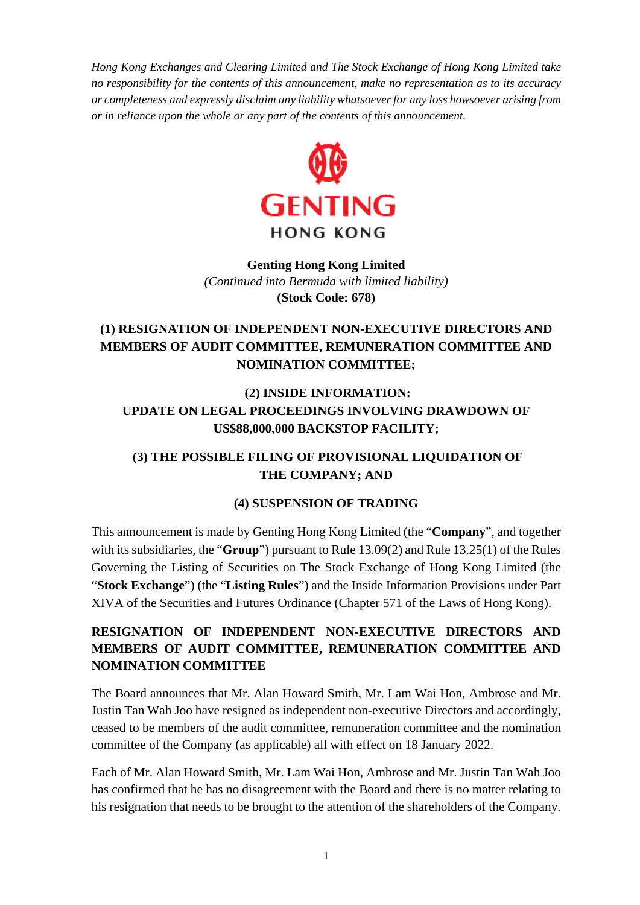*Hong Kong Exchanges and Clearing Limited and The Stock Exchange of Hong Kong Limited take no responsibility for the contents of this announcement, make no representation as to its accuracy or completeness and expressly disclaim any liability whatsoever for any loss howsoever arising from or in reliance upon the whole or any part of the contents of this announcement.*



#### **Genting Hong Kong Limited**  *(Continued into Bermuda with limited liability)* **(Stock Code: 678)**

# **(1) RESIGNATION OF INDEPENDENT NON-EXECUTIVE DIRECTORS AND MEMBERS OF AUDIT COMMITTEE, REMUNERATION COMMITTEE AND NOMINATION COMMITTEE;**

## **(2) INSIDE INFORMATION: UPDATE ON LEGAL PROCEEDINGS INVOLVING DRAWDOWN OF US\$88,000,000 BACKSTOP FACILITY;**

## **(3) THE POSSIBLE FILING OF PROVISIONAL LIQUIDATION OF THE COMPANY; AND**

### **(4) SUSPENSION OF TRADING**

This announcement is made by Genting Hong Kong Limited (the "**Company**", and together with its subsidiaries, the "**Group**") pursuant to Rule 13.09(2) and Rule 13.25(1) of the Rules Governing the Listing of Securities on The Stock Exchange of Hong Kong Limited (the "**Stock Exchange**") (the "**Listing Rules**") and the Inside Information Provisions under Part XIVA of the Securities and Futures Ordinance (Chapter 571 of the Laws of Hong Kong).

# **RESIGNATION OF INDEPENDENT NON-EXECUTIVE DIRECTORS AND MEMBERS OF AUDIT COMMITTEE, REMUNERATION COMMITTEE AND NOMINATION COMMITTEE**

The Board announces that Mr. Alan Howard Smith, Mr. Lam Wai Hon, Ambrose and Mr. Justin Tan Wah Joo have resigned as independent non-executive Directors and accordingly, ceased to be members of the audit committee, remuneration committee and the nomination committee of the Company (as applicable) all with effect on 18 January 2022.

Each of Mr. Alan Howard Smith, Mr. Lam Wai Hon, Ambrose and Mr. Justin Tan Wah Joo has confirmed that he has no disagreement with the Board and there is no matter relating to his resignation that needs to be brought to the attention of the shareholders of the Company.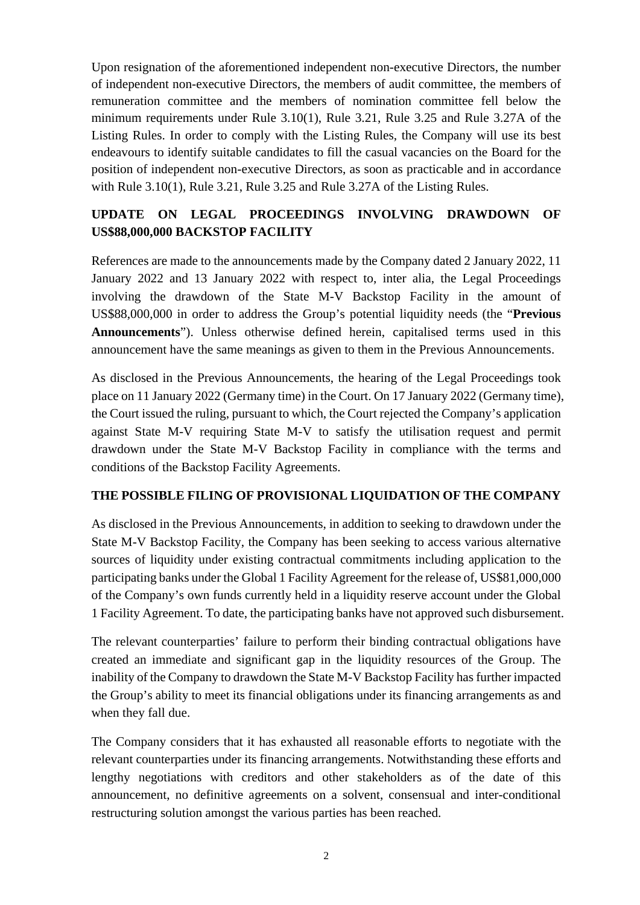Upon resignation of the aforementioned independent non-executive Directors, the number of independent non-executive Directors, the members of audit committee, the members of remuneration committee and the members of nomination committee fell below the minimum requirements under Rule 3.10(1), Rule 3.21, Rule 3.25 and Rule 3.27A of the Listing Rules. In order to comply with the Listing Rules, the Company will use its best endeavours to identify suitable candidates to fill the casual vacancies on the Board for the position of independent non-executive Directors, as soon as practicable and in accordance with Rule 3.10(1), Rule 3.21, Rule 3.25 and Rule 3.27A of the Listing Rules.

### **UPDATE ON LEGAL PROCEEDINGS INVOLVING DRAWDOWN OF US\$88,000,000 BACKSTOP FACILITY**

References are made to the announcements made by the Company dated 2 January 2022, 11 January 2022 and 13 January 2022 with respect to, inter alia, the Legal Proceedings involving the drawdown of the State M-V Backstop Facility in the amount of US\$88,000,000 in order to address the Group's potential liquidity needs (the "**Previous Announcements**"). Unless otherwise defined herein, capitalised terms used in this announcement have the same meanings as given to them in the Previous Announcements.

As disclosed in the Previous Announcements, the hearing of the Legal Proceedings took place on 11 January 2022 (Germany time) in the Court. On 17 January 2022 (Germany time), the Court issued the ruling, pursuant to which, the Court rejected the Company's application against State M-V requiring State M-V to satisfy the utilisation request and permit drawdown under the State M-V Backstop Facility in compliance with the terms and conditions of the Backstop Facility Agreements.

### **THE POSSIBLE FILING OF PROVISIONAL LIQUIDATION OF THE COMPANY**

As disclosed in the Previous Announcements, in addition to seeking to drawdown under the State M-V Backstop Facility, the Company has been seeking to access various alternative sources of liquidity under existing contractual commitments including application to the participating banks under the Global 1 Facility Agreement for the release of, US\$81,000,000 of the Company's own funds currently held in a liquidity reserve account under the Global 1 Facility Agreement. To date, the participating banks have not approved such disbursement.

The relevant counterparties' failure to perform their binding contractual obligations have created an immediate and significant gap in the liquidity resources of the Group. The inability of the Company to drawdown the State M-V Backstop Facility has further impacted the Group's ability to meet its financial obligations under its financing arrangements as and when they fall due.

The Company considers that it has exhausted all reasonable efforts to negotiate with the relevant counterparties under its financing arrangements. Notwithstanding these efforts and lengthy negotiations with creditors and other stakeholders as of the date of this announcement, no definitive agreements on a solvent, consensual and inter-conditional restructuring solution amongst the various parties has been reached.